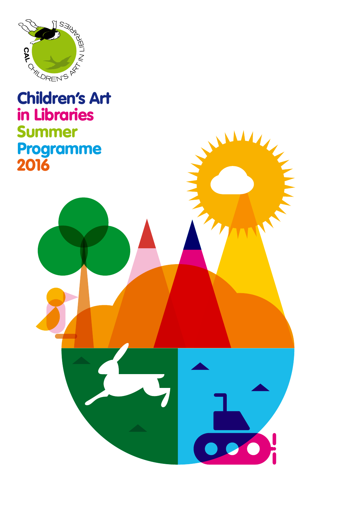

### in Libraries Summer Programme 2016

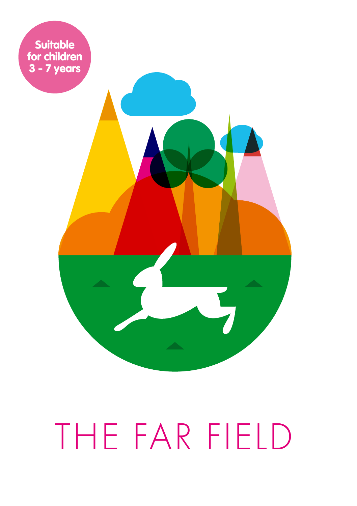

# THE FAR FIELD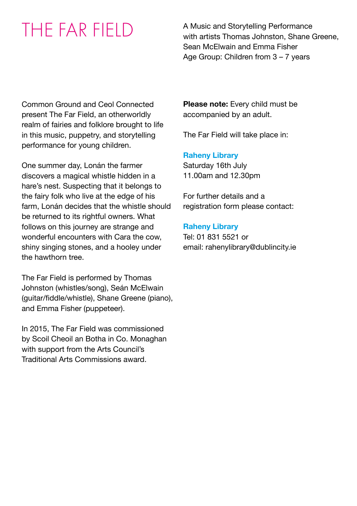THE FAR FIFID A Music and Storytelling Performance with artists Thomas Johnston, Shane Greene, Sean McElwain and Emma Fisher Age Group: Children from 3 – 7 years

Common Ground and Ceol Connected present The Far Field, an otherworldly realm of fairies and folklore brought to life in this music, puppetry, and storytelling performance for young children.

One summer day, Lonán the farmer discovers a magical whistle hidden in a hare's nest. Suspecting that it belongs to the fairy folk who live at the edge of his farm, Lonán decides that the whistle should be returned to its rightful owners. What follows on this journey are strange and wonderful encounters with Cara the cow, shiny singing stones, and a hooley under the hawthorn tree.

The Far Field is performed by Thomas Johnston (whistles/song), Seán McElwain (guitar/fiddle/whistle), Shane Greene (piano), and Emma Fisher (puppeteer).

In 2015, The Far Field was commissioned by Scoil Cheoil an Botha in Co. Monaghan with support from the Arts Council's Traditional Arts Commissions award.

**Please note:** Every child must be accompanied by an adult.

The Far Field will take place in:

### **Raheny Library**

Saturday 16th July 11.00am and 12.30pm

For further details and a registration form please contact:

### **Raheny Library**

Tel: 01 831 5521 or email: rahenylibrary@dublincity.ie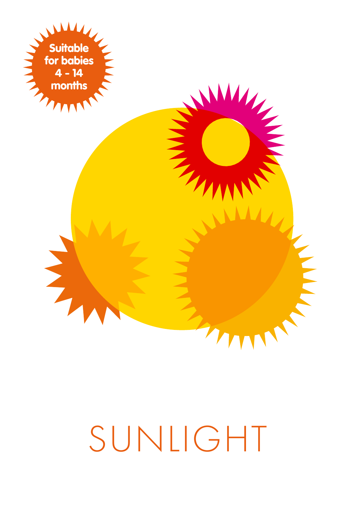

# SUNLIGHT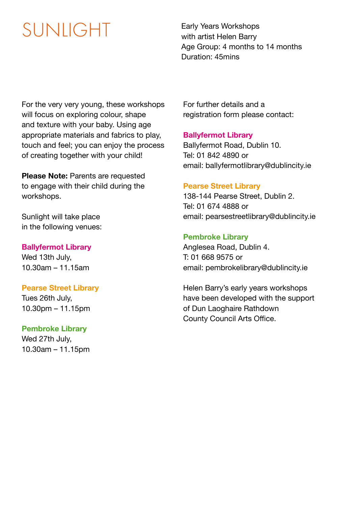## SUNIIGHT Early Years Workshops

with artist Helen Barry Age Group: 4 months to 14 months Duration: 45mins

For the very very young, these workshops will focus on exploring colour, shape and texture with your baby. Using age appropriate materials and fabrics to play, touch and feel; you can enjoy the process of creating together with your child!

**Please Note: Parents are requested** to engage with their child during the workshops.

Sunlight will take place in the following venues:

### **Ballyfermot Library**

Wed 13th July, 10.30am – 11.15am

### **Pearse Street Library**

Tues 26th July, 10.30pm – 11.15pm

### **Pembroke Library**

Wed 27th July, 10.30am – 11.15pm For further details and a registration form please contact:

### **Ballyfermot Library**

Ballyfermot Road, Dublin 10. Tel: 01 842 4890 or email: ballyfermotlibrary@dublincity.ie

### **Pearse Street Library**

138-144 Pearse Street, Dublin 2. Tel: 01 674 4888 or email: pearsestreetlibrary@dublincity.ie

### **Pembroke Library**

Anglesea Road, Dublin 4. T: 01 668 9575 or email: pembrokelibrary@dublincity.ie

Helen Barry's early years workshops have been developed with the support of Dun Laoghaire Rathdown County Council Arts Office.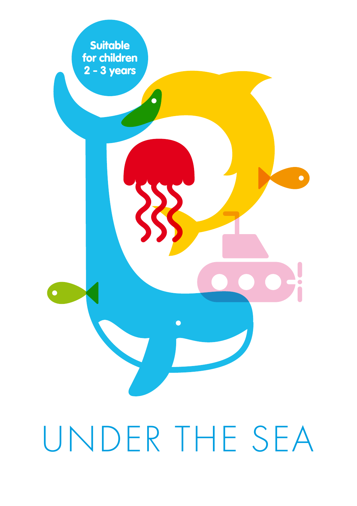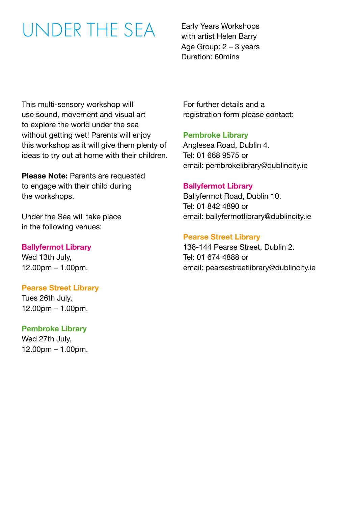### UNDER THE SEA

Early Years Workshops with artist Helen Barry Age Group:  $2 - 3$  years Duration: 60mins

This multi-sensory workshop will use sound, movement and visual art to explore the world under the sea without getting wet! Parents will enjoy this workshop as it will give them plenty of ideas to try out at home with their children.

**Please Note:** Parents are requested to engage with their child during the workshops.

Under the Sea will take place in the following venues:

### **Ballyfermot Library**

Wed 13th July, 12.00pm – 1.00pm.

### **Pearse Street Library**

Tues 26th July, 12.00pm – 1.00pm.

### **Pembroke Library**

Wed 27th July, 12.00pm – 1.00pm. For further details and a registration form please contact:

### **Pembroke Library**

Anglesea Road, Dublin 4. Tel: 01 668 9575 or email: pembrokelibrary@dublincity.ie

### **Ballyfermot Library**

Ballyfermot Road, Dublin 10. Tel: 01 842 4890 or email: ballyfermotlibrary@dublincity.ie

### **Pearse Street Library**

138-144 Pearse Street, Dublin 2. Tel: 01 674 4888 or email: pearsestreetlibrary@dublincity.ie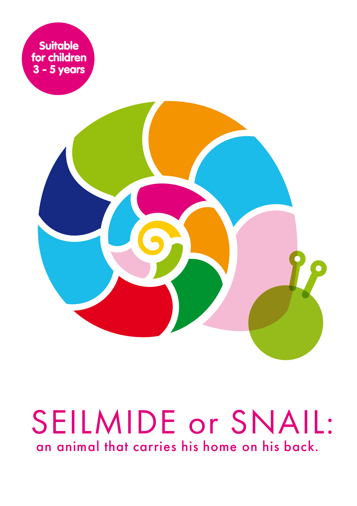

# SEILMIDE or SNAIL: an animal that carries his home on his back.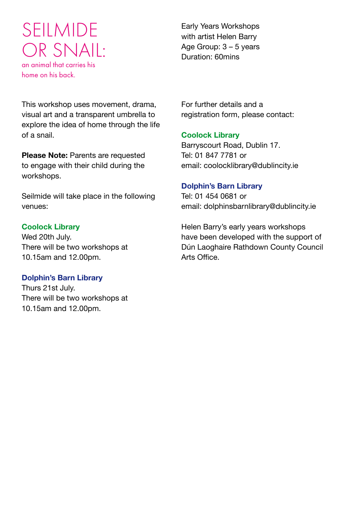### SEILMIDE OR SNAIL: an animal that carries his home on his back.

This workshop uses movement, drama, visual art and a transparent umbrella to explore the idea of home through the life of a snail.

**Please Note: Parents are requested** to engage with their child during the workshops.

Seilmide will take place in the following venues:

### **Coolock Library**

Wed 20th July. There will be two workshops at 10.15am and 12.00pm.

### **Dolphin's Barn Library**

Thurs 21st July. There will be two workshops at 10.15am and 12.00pm.

Early Years Workshops with artist Helen Barry Age Group: 3 – 5 years Duration: 60mins

For further details and a registration form, please contact:

### **Coolock Library**

Barryscourt Road, Dublin 17. Tel: 01 847 7781 or email: coolocklibrary@dublincity.ie

### **Dolphin's Barn Library**

Tel: 01 454 0681 or email: dolphinsbarnlibrary@dublincity.ie

Helen Barry's early years workshops have been developed with the support of Dún Laoghaire Rathdown County Council Arts Office.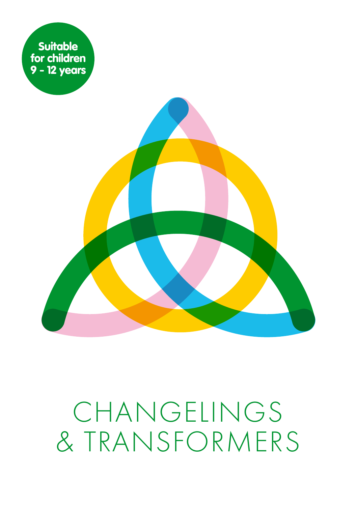

# CHANGELINGS & TRANSFORMERS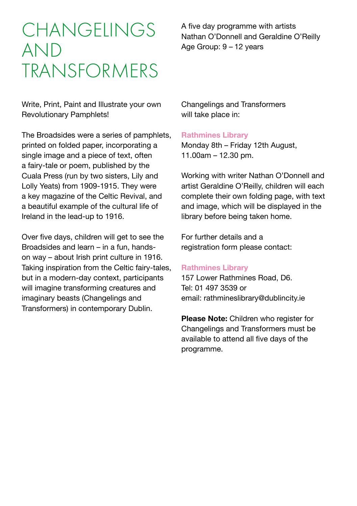### **CHANGELINGS** AND TRANSFORMERS

Write, Print, Paint and Illustrate your own Revolutionary Pamphlets!

The Broadsides were a series of pamphlets, printed on folded paper, incorporating a single image and a piece of text, often a fairy-tale or poem, published by the Cuala Press (run by two sisters, Lily and Lolly Yeats) from 1909-1915. They were a key magazine of the Celtic Revival, and a beautiful example of the cultural life of Ireland in the lead-up to 1916.

Over five days, children will get to see the Broadsides and learn – in a fun, handson way – about Irish print culture in 1916. Taking inspiration from the Celtic fairy-tales, but in a modern-day context, participants will imagine transforming creatures and imaginary beasts (Changelings and Transformers) in contemporary Dublin.

A five day programme with artists Nathan O'Donnell and Geraldine O'Reilly Age Group: 9 – 12 years

Changelings and Transformers will take place in:

### **Rathmines Library**

Monday 8th – Friday 12th August, 11.00am – 12.30 pm.

Working with writer Nathan O'Donnell and artist Geraldine O'Reilly, children will each complete their own folding page, with text and image, which will be displayed in the library before being taken home.

For further details and a registration form please contact:

### **Rathmines Library**

157 Lower Rathmines Road, D6. Tel: 01 497 3539 or email: rathmineslibrary@dublincity.ie

**Please Note:** Children who register for Changelings and Transformers must be available to attend all five days of the programme.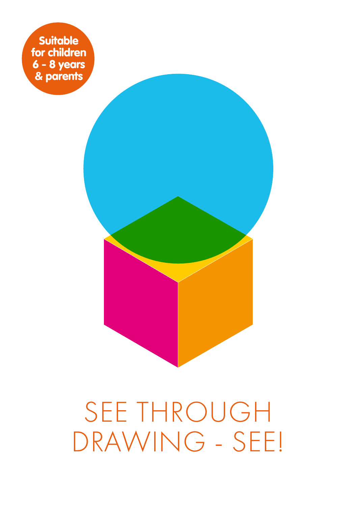**Suitable** for children 6 - 8 years & parents

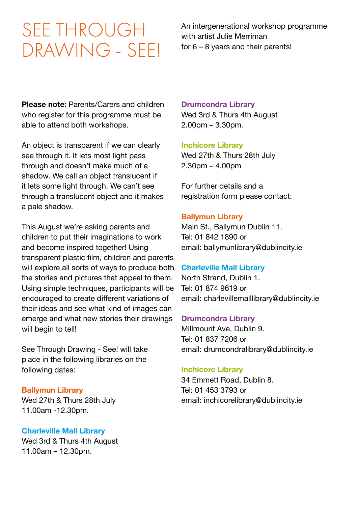### SEE THROUGH DRAWING - SEE!

An intergenerational workshop programme with artist Julie Merriman for 6 – 8 years and their parents!

**Please note:** Parents/Carers and children who register for this programme must be able to attend both workshops.

An object is transparent if we can clearly see through it. It lets most light pass through and doesn't make much of a shadow. We call an object translucent if it lets some light through. We can't see through a translucent object and it makes a pale shadow.

This August we're asking parents and children to put their imaginations to work and become inspired together! Using transparent plastic film, children and parents will explore all sorts of ways to produce both the stories and pictures that appeal to them. Using simple techniques, participants will be encouraged to create different variations of their ideas and see what kind of images can emerge and what new stories their drawings will begin to tell!

See Through Drawing - See! will take place in the following libraries on the following dates:

### **Ballymun Library**

Wed 27th & Thurs 28th July 11.00am -12.30pm.

### **Charleville Mall Library**

Wed 3rd & Thurs 4th August 11.00am – 12.30pm.

### **Drumcondra Library**

Wed 3rd & Thurs 4th August 2.00pm – 3.30pm.

### **Inchicore Library**

Wed 27th & Thurs 28th July 2.30pm – 4.00pm

For further details and a registration form please contact:

### **Ballymun Library**

Main St., Ballymun Dublin 11. Tel: 01 842 1890 or email: ballymunlibrary@dublincity.ie

### **Charleville Mall Library**

North Strand, Dublin 1. Tel: 01 874 9619 or email: charlevillemalllibrary@dublincity.ie

### **Drumcondra Library**

Millmount Ave, Dublin 9. Tel: 01 837 7206 or email: drumcondralibrary@dublincity.ie

### **Inchicore Library**

34 Emmett Road, Dublin 8. Tel: 01 453 3793 or email: inchicorelibrary@dublincity.ie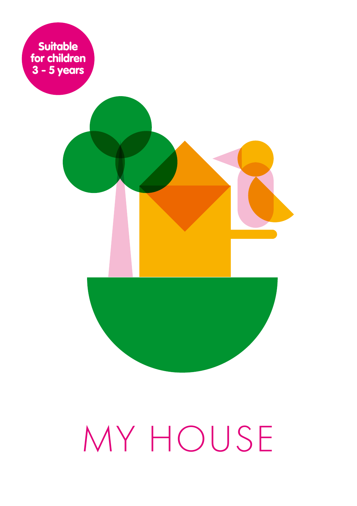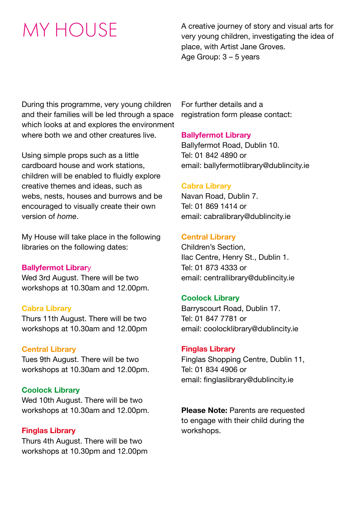## MY HOUSE

A creative journey of story and visual arts for very young children, investigating the idea of place, with Artist Jane Groves. Age Group: 3 – 5 years

During this programme, very young children and their families will be led through a space which looks at and explores the environment where both we and other creatures live.

Using simple props such as a little cardboard house and work stations, children will be enabled to fluidly explore creative themes and ideas, such as webs, nests, houses and burrows and be encouraged to visually create their own version of *home*.

My House will take place in the following libraries on the following dates:

### **Ballyfermot Librar**y

Wed 3rd August. There will be two workshops at 10.30am and 12.00pm.

### **Cabra Library**

Thurs 11th August. There will be two workshops at 10.30am and 12.00pm

### **Central Library**

Tues 9th August. There will be two workshops at 10.30am and 12.00pm.

### **Coolock Library**

Wed 10th August. There will be two workshops at 10.30am and 12.00pm.

### **Finglas Library**

Thurs 4th August. There will be two workshops at 10.30pm and 12.00pm For further details and a registration form please contact:

### **Ballyfermot Library**

Ballyfermot Road, Dublin 10. Tel: 01 842 4890 or email: ballyfermotlibrary@dublincity.ie

### **Cabra Library**

Navan Road, Dublin 7. Tel: 01 869 1414 or email: cabralibrary@dublincity.ie

### **Central Library**

Children's Section, Ilac Centre, Henry St., Dublin 1. Tel: 01 873 4333 or email: centrallibrary@dublincity.ie

### **Coolock Library**

Barryscourt Road, Dublin 17. Tel: 01 847 7781 or email: coolocklibrary@dublincity.ie

### **Finglas Library**

Finglas Shopping Centre, Dublin 11, Tel: 01 834 4906 or email: finglaslibrary@dublincity.ie

**Please Note:** Parents are requested to engage with their child during the workshops.